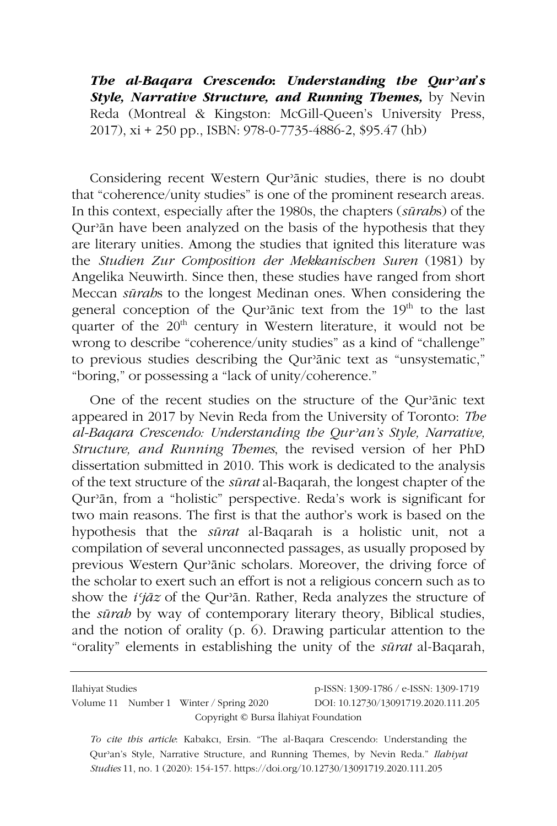*The al-Baqara Crescendo***:** *Understanding the Qurʾan's Style, Narrative Structure, and Running Themes,* by Nevin Reda (Montreal & Kingston: McGill-Queen's University Press, 2017), xi + 250 pp., ISBN: 978-0-7735-4886-2, \$95.47 (hb)

Considering recent Western Qurʾānic studies, there is no doubt that "coherence/unity studies" is one of the prominent research areas. In this context, especially after the 1980s, the chapters (*sūrah*s) of the Qurʾān have been analyzed on the basis of the hypothesis that they are literary unities. Among the studies that ignited this literature was the *Studien Zur Composition der Mekkanischen Suren* (1981) by Angelika Neuwirth. Since then, these studies have ranged from short Meccan *sūrah*s to the longest Medinan ones. When considering the general conception of the Qur'anic text from the  $19<sup>th</sup>$  to the last quarter of the  $20<sup>th</sup>$  century in Western literature, it would not be wrong to describe "coherence/unity studies" as a kind of "challenge" to previous studies describing the Qurʾānic text as "unsystematic," "boring," or possessing a "lack of unity/coherence."

One of the recent studies on the structure of the Qurʾānic text appeared in 2017 by Nevin Reda from the University of Toronto: *The al-Baqara Crescendo: Understanding the Qurʾan's Style, Narrative, Structure, and Running Themes*, the revised version of her PhD dissertation submitted in 2010. This work is dedicated to the analysis of the text structure of the *sūrat* al-Baqarah, the longest chapter of the Qurʾān, from a "holistic" perspective. Reda's work is significant for two main reasons. The first is that the author's work is based on the hypothesis that the *sūrat* al-Baqarah is a holistic unit, not a compilation of several unconnected passages, as usually proposed by previous Western Qurʾānic scholars. Moreover, the driving force of the scholar to exert such an effort is not a religious concern such as to show the *iʿjāz* of the Qurʾān. Rather, Reda analyzes the structure of the *sūrah* by way of contemporary literary theory, Biblical studies, and the notion of orality (p. 6). Drawing particular attention to the "orality" elements in establishing the unity of the *sūrat* al-Baqarah,

Ilahiyat Studies p-ISSN: 1309-1786 / e-ISSN: 1309-1719 Volume 11 Number 1 Winter / Spring 2020 DOI: 10.12730/13091719.2020.111.205 Copyright © Bursa İlahiyat Foundation

*To cite this article*: Kabakcı, Ersin. "The al-Baqara Crescendo: Understanding the Qurʾan's Style, Narrative Structure, and Running Themes, by Nevin Reda." *Ilahiyat Studies* 11, no. 1 (2020): 154-157. https://doi.org/10.12730/13091719.2020.111.205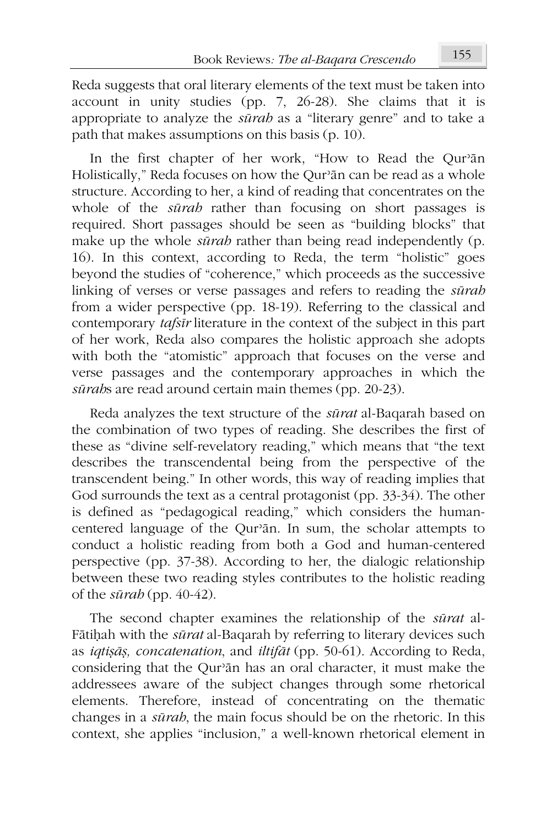Reda suggests that oral literary elements of the text must be taken into account in unity studies (pp. 7, 26-28). She claims that it is appropriate to analyze the *sūrah* as a "literary genre" and to take a path that makes assumptions on this basis (p. 10).

In the first chapter of her work, "How to Read the Qurʾān Holistically," Reda focuses on how the Qur'ān can be read as a whole structure. According to her, a kind of reading that concentrates on the whole of the *sūrah* rather than focusing on short passages is required. Short passages should be seen as "building blocks" that make up the whole *sūrah* rather than being read independently (p. 16). In this context, according to Reda, the term "holistic" goes beyond the studies of "coherence," which proceeds as the successive linking of verses or verse passages and refers to reading the *sūrah* from a wider perspective (pp. 18-19). Referring to the classical and contemporary *tafsīr* literature in the context of the subject in this part of her work, Reda also compares the holistic approach she adopts with both the "atomistic" approach that focuses on the verse and verse passages and the contemporary approaches in which the *sūrah*s are read around certain main themes (pp. 20-23).

Reda analyzes the text structure of the *sūrat* al-Baqarah based on the combination of two types of reading. She describes the first of these as "divine self-revelatory reading," which means that "the text describes the transcendental being from the perspective of the transcendent being." In other words, this way of reading implies that God surrounds the text as a central protagonist (pp. 33-34). The other is defined as "pedagogical reading," which considers the humancentered language of the Qurʾān. In sum, the scholar attempts to conduct a holistic reading from both a God and human-centered perspective (pp. 37-38). According to her, the dialogic relationship between these two reading styles contributes to the holistic reading of the *sūrah* (pp. 40-42).

The second chapter examines the relationship of the *sūrat* al-Fātiḥah with the *sūrat* al-Baqarah by referring to literary devices such as *iqtiṣāṣ, concatenation*, and *iltifāt* (pp. 50-61). According to Reda, considering that the Qurʾān has an oral character, it must make the addressees aware of the subject changes through some rhetorical elements. Therefore, instead of concentrating on the thematic changes in a *sūrah*, the main focus should be on the rhetoric. In this context, she applies "inclusion," a well-known rhetorical element in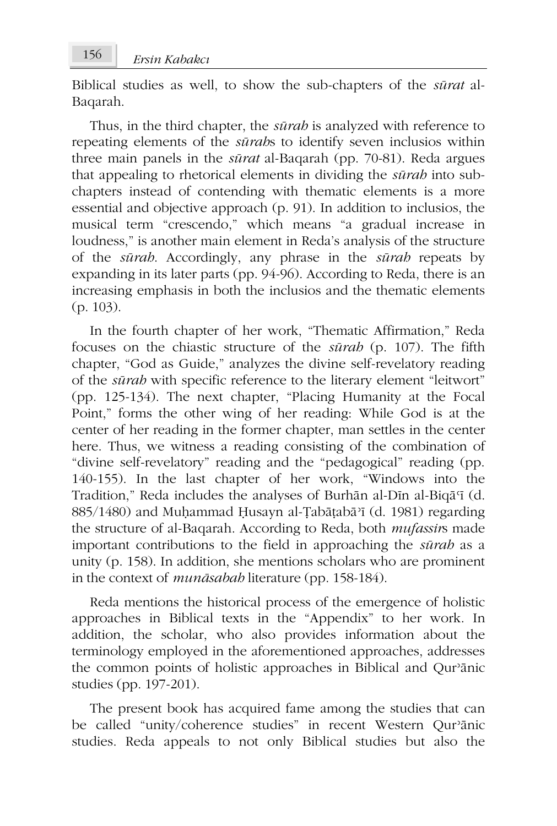Biblical studies as well, to show the sub-chapters of the *sūrat* al-Baqarah.

Thus, in the third chapter, the *sūrah* is analyzed with reference to repeating elements of the *sūrah*s to identify seven inclusios within three main panels in the *sūrat* al-Baqarah (pp. 70-81). Reda argues that appealing to rhetorical elements in dividing the *sūrah* into subchapters instead of contending with thematic elements is a more essential and objective approach (p. 91). In addition to inclusios, the musical term "crescendo," which means "a gradual increase in loudness," is another main element in Reda's analysis of the structure of the *sūrah*. Accordingly, any phrase in the *sūrah* repeats by expanding in its later parts (pp. 94-96). According to Reda, there is an increasing emphasis in both the inclusios and the thematic elements (p. 103).

In the fourth chapter of her work, "Thematic Affirmation," Reda focuses on the chiastic structure of the *sūrah* (p. 107). The fifth chapter, "God as Guide," analyzes the divine self-revelatory reading of the *sūrah* with specific reference to the literary element "leitwort" (pp. 125-134). The next chapter, "Placing Humanity at the Focal Point," forms the other wing of her reading: While God is at the center of her reading in the former chapter, man settles in the center here. Thus, we witness a reading consisting of the combination of "divine self-revelatory" reading and the "pedagogical" reading (pp. 140-155). In the last chapter of her work, "Windows into the Tradition," Reda includes the analyses of Burhān al-Dīn al-Biqāʿī (d. 885/1480) and Muḥammad Ḥusayn al-Ṭabāṭabāʾī (d. 1981) regarding the structure of al-Baqarah. According to Reda, both *mufassir*s made important contributions to the field in approaching the *sūrah* as a unity (p. 158). In addition, she mentions scholars who are prominent in the context of *munāsabah* literature (pp. 158-184).

Reda mentions the historical process of the emergence of holistic approaches in Biblical texts in the "Appendix" to her work. In addition, the scholar, who also provides information about the terminology employed in the aforementioned approaches, addresses the common points of holistic approaches in Biblical and Qurʾānic studies (pp. 197-201).

The present book has acquired fame among the studies that can be called "unity/coherence studies" in recent Western Qurʾānic studies. Reda appeals to not only Biblical studies but also the